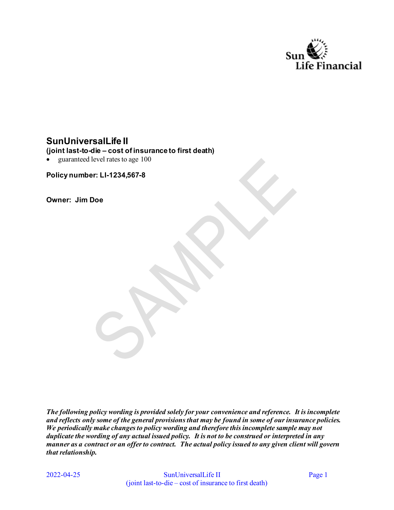

# **SunUniversalLife II**

#### **(joint last-to-die – cost of insurance to first death)**

 $\bullet$ guaranteed level rates to age 100

**Policy number: LI-1234,567-8** 

**Owner: Jim Doe** 

*The following policy wording is provided solely for your convenience and reference. It is incomplete and reflects only some of the general provisions that may be found in some of our insurance policies. We periodically make changes to policy wording and therefore this incomplete sample may not duplicate the wording of any actual issued policy. It is not to be construed or interpreted in any manner as a contract or an offer to contract. The actual policy issued to any given client will govern that relationship.* 

2022-04-25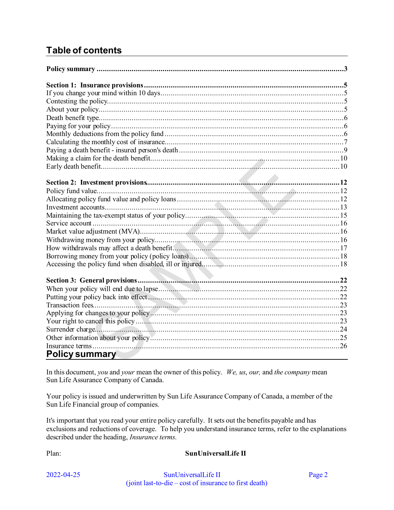# **Table of contents**

| <b>Policy summary</b> |  |
|-----------------------|--|

<span id="page-1-0"></span>In this document, *you* and *your* mean the owner of this policy. *We, us*, *our,* and *the company* mean Sun Life Assurance Company of Canada.

Your policy is issued and underwritten by Sun Life Assurance Company of Canada, a member of the Sun Life Financial group of companies.

It's important that you read your entire policy carefully. It sets out the benefits payable and has exclusions and reductions of coverage. To help you understand insurance terms, refer to the explanations described under the heading, *Insurance terms*.

Plan: **SunUniversalLife II**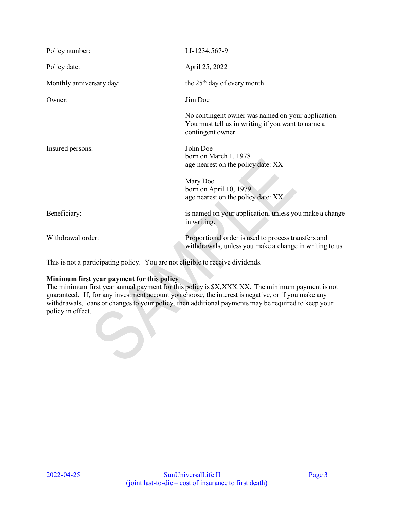| Policy number:           | LI-1234,567-9                                                                                                                |  |
|--------------------------|------------------------------------------------------------------------------------------------------------------------------|--|
| Policy date:             | April 25, 2022                                                                                                               |  |
| Monthly anniversary day: | the 25 <sup>th</sup> day of every month                                                                                      |  |
| Owner:                   | Jim Doe                                                                                                                      |  |
|                          | No contingent owner was named on your application.<br>You must tell us in writing if you want to name a<br>contingent owner. |  |
| Insured persons:         | John Doe<br>born on March 1, 1978<br>age nearest on the policy date: XX                                                      |  |
|                          | Mary Doe<br>born on April 10, 1979<br>age nearest on the policy date: XX                                                     |  |
| Beneficiary:             | is named on your application, unless you make a change<br>in writing.                                                        |  |
| Withdrawal order:        | Proportional order is used to process transfers and<br>withdrawals, unless you make a change in writing to us.               |  |

This is not a participating policy. You are not eligible to receive dividends.

#### **Minimum first year payment for this policy**

 $\bullet$ 

The minimum first year annual payment for this policy is \$X,XXX.XX. The minimum payment is not guaranteed. If, for any investment account you choose, the interest is negative, or if you make any withdrawals, loans or changes to your policy, then additional payments may be required to keep your policy in effect.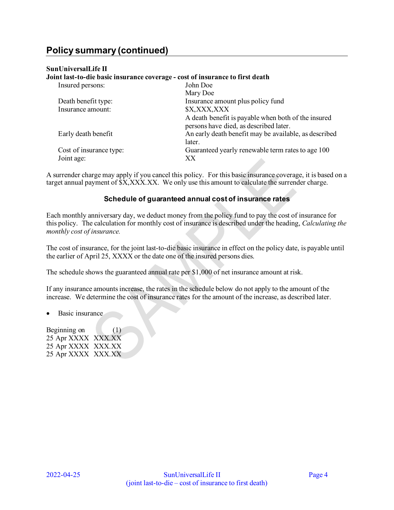#### **SunUniversalLife II**

**Joint last-to-die basic insurance coverage - cost of insurance to first death**  Insured persons: John Doe Mary Doe Death benefit type: Insurance amount plus policy fund Insurance amount:  $$X, XXX, XXX$ A death benefit is payable when both of the insured persons have died, as described later. Early death benefit **An** early death benefit may be available, as described later. Cost of insurance type: Guaranteed yearly renewable term rates to age 100 Joint age: XX

A surrender charge may apply if you cancel this policy. For this basic insurance coverage, it is based on a target annual payment of  $\overline{SX, XXX. XX}$ . We only use this amount to calculate the surrender charge.

#### **Schedule of guaranteed annual cost of insurance rates**

Each monthly anniversary day, we deduct money from the policy fund to pay the cost of insurance for this policy. The calculation for monthly cost of insurance is described under the heading, *Calculating the monthly cost of insurance.* 

The cost of insurance, for the joint last-to-die basic insurance in effect on the policy date, is payable until the earlier of April 25, XXXX or the date one of the insured persons dies.

The schedule shows the guaranteed annual rate per \$1,000 of net insurance amount at risk.

If any insurance amounts increase, the rates in the schedule below do not apply to the amount of the increase. We determine the cost of insurance rates for the amount of the increase, as described later.

• Basic insurance

Beginning on (1) 25 Apr XXXX XXX.XX 25 Apr XXXX XXX.XX 25 Apr XXXX XXX.XX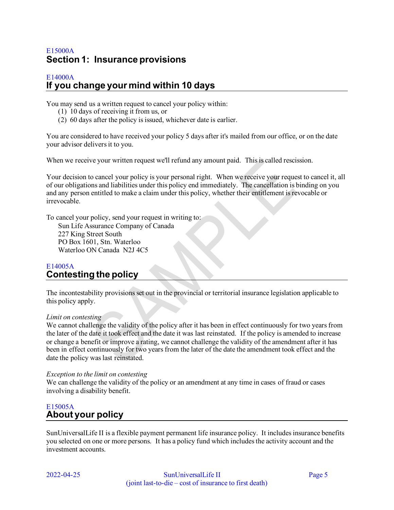# <span id="page-4-0"></span>E15000A **Section 1: Insurance provisions**

#### <span id="page-4-1"></span>E14000A **If you change your mind within 10 days**

You may send us a written request to cancel your policy within:

- (1) 10 days of receiving it from us, or
- (2) 60 days after the policy is issued, whichever date is earlier.

You are considered to have received your policy 5 days after it's mailed from our office, or on the date your advisor delivers it to you.

When we receive your written request we'll refund any amount paid. This is called rescission.

Your decision to cancel your policy is your personal right. When we receive your request to cancel it, all of our obligations and liabilities under this policy end immediately. The cancellation is binding on you and any person entitled to make a claim under this policy, whether their entitlement is revocable or irrevocable.

To cancel your policy, send your request in writing to:

Sun Life Assurance Company of Canada 227 King Street South PO Box 1601, Stn. Waterloo Waterloo ON Canada N2J 4C5

### <span id="page-4-2"></span>E14005A **Contesting the policy**

The incontestability provisions set out in the provincial or territorial insurance legislation applicable to this policy apply.

#### *Limit on contesting*

We cannot challenge the validity of the policy after it has been in effect continuously for two years from the later of the date it took effect and the date it was last reinstated. If the policy is amended to increase or change a benefit or improve a rating, we cannot challenge the validity of the amendment after it has been in effect continuously for two years from the later of the date the amendment took effect and the date the policy was last reinstated.

#### *Exception to the limit on contesting*

We can challenge the validity of the policy or an amendment at any time in cases of fraud or cases involving a disability benefit.

## <span id="page-4-3"></span>E15005A **About your policy**

SunUniversalLife II is a flexible payment permanent life insurance policy. It includes insurance benefits you selected on one or more persons. It has a policy fund which includes the activity account and the investment accounts.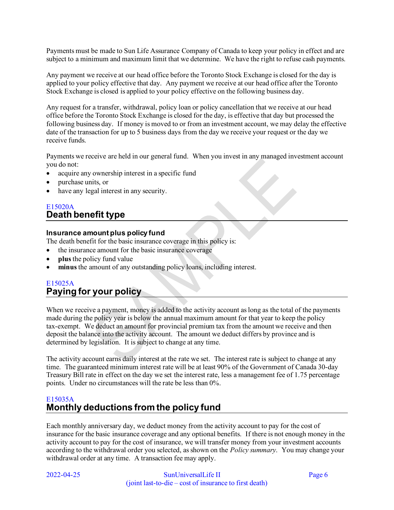Payments must be made to Sun Life Assurance Company of Canada to keep your policy in effect and are subject to a minimum and maximum limit that we determine. We have the right to refuse cash payments.

Any payment we receive at our head office before the Toronto Stock Exchange is closed for the day is applied to your policy effective that day. Any payment we receive at our head office after the Toronto Stock Exchange is closed is applied to your policy effective on the following business day.

Any request for a transfer, withdrawal, policy loan or policy cancellation that we receive at our head office before the Toronto Stock Exchange is closed for the day, is effective that day but processed the following business day. If money is moved to or from an investment account, we may delay the effective date of the transaction for up to 5 business days from the day we receive your request or the day we receive funds.

Payments we receive are held in our general fund. When you invest in any managed investment account you do not:

- acquire any ownership interest in a specific fund
- purchase units, or
- have any legal interest in any security.

## <span id="page-5-0"></span>E15020A **Death benefit type**

#### **Insurance amount plus policy fund**

The death benefit for the basic insurance coverage in this policy is:

- the insurance amount for the basic insurance coverage
- **plus** the policy fund value
- **minus** the amount of any outstanding policy loans, including interest.

# <span id="page-5-1"></span>E15025A **Paying for your policy**

When we receive a payment, money is added to the activity account as long as the total of the payments made during the policy year is below the annual maximum amount for that year to keep the policy tax-exempt. We deduct an amount for provincial premium tax from the amount we receive and then deposit the balance into the activity account. The amount we deduct differs by province and is determined by legislation. It is subject to change at any time.

The activity account earns daily interest at the rate we set. The interest rate is subject to change at any time. The guaranteed minimum interest rate will be at least 90% of the Government of Canada 30-day Treasury Bill rate in effect on the day we set the interest rate, less a management fee of 1.75 percentage points. Under no circumstances will the rate be less than 0%.

# <span id="page-5-2"></span>E15035A **Monthly deductions from the policy fund**

Each monthly anniversary day, we deduct money from the activity account to pay for the cost of insurance for the basic insurance coverage and any optional benefits. If there is not enough money in the activity account to pay for the cost of insurance, we will transfer money from your investment accounts according to the withdrawal order you selected, as shown on the *Policy summary*. You may change your withdrawal order at any time. A transaction fee may apply.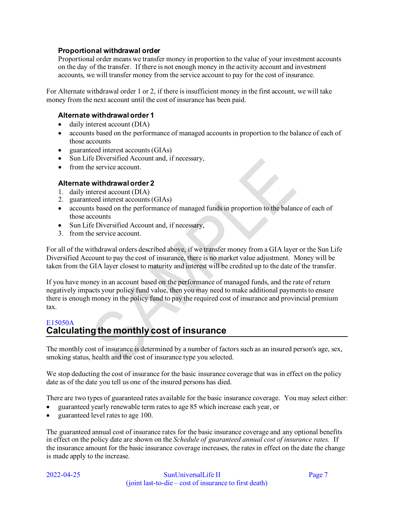#### **Proportional withdrawal order**

Proportional order means we transfer money in proportion to the value of your investment accounts on the day of the transfer. If there is not enough money in the activity account and investment accounts, we will transfer money from the service account to pay for the cost of insurance.

For Alternate withdrawal order 1 or 2, if there is insufficient money in the first account, we will take money from the next account until the cost of insurance has been paid.

#### **Alternate withdrawal order 1**

- daily interest account (DIA)
- accounts based on the performance of managed accounts in proportion to the balance of each of those accounts
- guaranteed interest accounts (GIAs)
- Sun Life Diversified Account and, if necessary,
- from the service account.

#### **Alternate withdrawal order 2**

- 1. daily interest account (DIA)
- 2. guaranteed interest accounts (GIAs)
- accounts based on the performance of managed funds in proportion to the balance of each of those accounts
- Sun Life Diversified Account and, if necessary,
- 3. from the service account.

For all of the withdrawal orders described above, if we transfer money from a GIA layer or the Sun Life Diversified Account to pay the cost of insurance, there is no market value adjustment. Money will be taken from the GIA layer closest to maturity and interest will be credited up to the date of the transfer.

If you have money in an account based on the performance of managed funds, and the rate of return negatively impacts your policy fund value, then you may need to make additional payments to ensure there is enough money in the policy fund to pay the required cost of insurance and provincial premium tax.

## <span id="page-6-0"></span>E15050A **Calculating the monthly cost of insurance**

The monthly cost of insurance is determined by a number of factors such as an insured person's age, sex, smoking status, health and the cost of insurance type you selected.

We stop deducting the cost of insurance for the basic insurance coverage that was in effect on the policy date as of the date you tell us one of the insured persons has died.

There are two types of guaranteed rates available for the basic insurance coverage. You may select either:

- guaranteed yearly renewable term rates to age 85 which increase each year, or
- guaranteed level rates to age 100.

The guaranteed annual cost of insurance rates for the basic insurance coverage and any optional benefits in effect on the policy date are shown on the *Schedule of guaranteed annual cost of insurance rates.* If the insurance amount for the basic insurance coverage increases, the rates in effect on the date the change is made apply to the increase.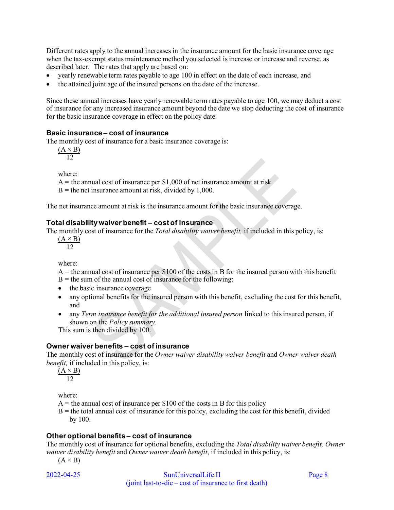Different rates apply to the annual increases in the insurance amount for the basic insurance coverage when the tax-exempt status maintenance method you selected is increase or increase and reverse, as described later. The rates that apply are based on:

- yearly renewable term rates payable to age 100 in effect on the date of each increase, and
- the attained joint age of the insured persons on the date of the increase.

Since these annual increases have yearly renewable term rates payable to age 100, we may deduct a cost of insurance for any increased insurance amount beyond the date we stop deducting the cost of insurance for the basic insurance coverage in effect on the policy date.

#### **Basic insurance – cost of insurance**

The monthly cost of insurance for a basic insurance coverage is:

 $(A \times B)$ 12

where:

 $A =$  the annual cost of insurance per \$1,000 of net insurance amount at risk

 $B =$  the net insurance amount at risk, divided by 1,000.

The net insurance amount at risk is the insurance amount for the basic insurance coverage.

#### **Total disability waiver benefit – cost of insurance**

The monthly cost of insurance for the *Total disability waiver benefit,* if included in this policy, is:

 $(A \times B)$ 12

where:

 $A =$  the annual cost of insurance per \$100 of the costs in B for the insured person with this benefit  $B =$  the sum of the annual cost of insurance for the following:

- the basic insurance coverage
- any optional benefits for the insured person with this benefit, excluding the cost for this benefit*,*  and
- any *Term insurance benefit for the additional insured person* linked to this insured person, if shown on the *Policy summary*.

This sum is then divided by 100.

#### **Owner waiver benefits – cost of insurance**

The monthly cost of insurance for the *Owner waiver disability waiver benefit* and *Owner waiver death benefit,* if included in this policy, is:

 $(A \times B)$  $\overline{12}$ 

where:

- $A =$  the annual cost of insurance per \$100 of the costs in B for this policy
- $B =$  the total annual cost of insurance for this policy, excluding the cost for this benefit, divided by 100.

#### **Other optional benefits – cost of insurance**

The monthly cost of insurance for optional benefits, excluding the *Total disability waiver benefit, Owner waiver disability benefit* and *Owner waiver death benefit*, if included in this policy, is:

$$
(A \times B)
$$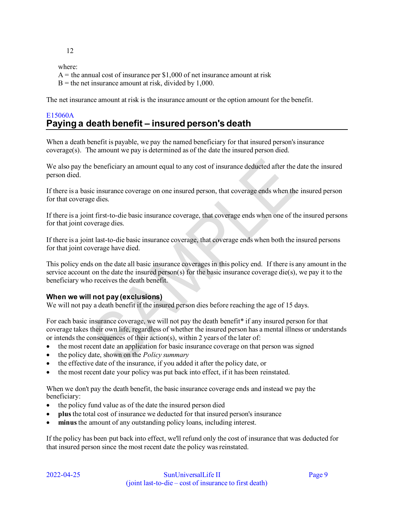12

where:

 $A =$  the annual cost of insurance per \$1,000 of net insurance amount at risk

 $B =$  the net insurance amount at risk, divided by 1,000.

The net insurance amount at risk is the insurance amount or the option amount for the benefit.

# <span id="page-8-0"></span>E15060A **Paying a death benefit – insured person's death**

When a death benefit is payable, we pay the named beneficiary for that insured person's insurance coverage(s). The amount we pay is determined as of the date the insured person died.

We also pay the beneficiary an amount equal to any cost of insurance deducted after the date the insured person died.

If there is a basic insurance coverage on one insured person, that coverage ends when the insured person for that coverage dies.

If there is a joint first-to-die basic insurance coverage, that coverage ends when one of the insured persons for that joint coverage dies.

If there is a joint last-to-die basic insurance coverage, that coverage ends when both the insured persons for that joint coverage have died.

This policy ends on the date all basic insurance coverages in this policy end. If there is any amount in the service account on the date the insured person(s) for the basic insurance coverage die(s), we pay it to the beneficiary who receives the death benefit.

#### **When we will not pay (exclusions)**

We will not pay a death benefit if the insured person dies before reaching the age of 15 days.

For each basic insurance coverage, we will not pay the death benefit\* if any insured person for that coverage takes their own life, regardless of whether the insured person has a mental illness or understands or intends the consequences of their action(s), within 2 years of the later of:

- the most recent date an application for basic insurance coverage on that person was signed
- the policy date, shown on the *Policy summary*
- the effective date of the insurance, if you added it after the policy date, or
- the most recent date your policy was put back into effect, if it has been reinstated.

When we don't pay the death benefit, the basic insurance coverage ends and instead we pay the beneficiary:

- the policy fund value as of the date the insured person died
- **plus** the total cost of insurance we deducted for that insured person's insurance
- **minus** the amount of any outstanding policy loans, including interest.

If the policy has been put back into effect, we'll refund only the cost of insurance that was deducted for that insured person since the most recent date the policy was reinstated.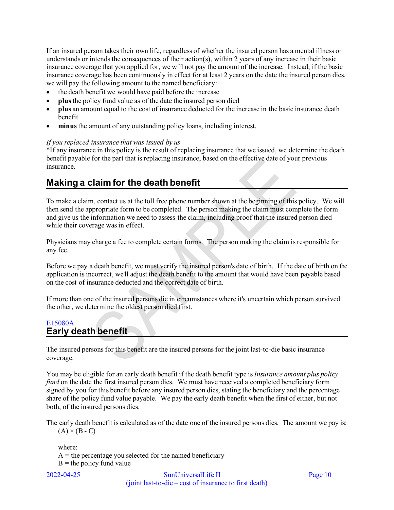If an insured person takes their own life, regardless of whether the insured person has a mental illness or understands or intends the consequences of their action(s), within 2 years of any increase in their basic insurance coverage that you applied for, we will not pay the amount of the increase. Instead, if the basic insurance coverage has been continuously in effect for at least 2 years on the date the insured person dies, we will pay the following amount to the named beneficiary:

- the death benefit we would have paid before the increase
- **plus** the policy fund value as of the date the insured person died
- **plus** an amount equal to the cost of insurance deducted for the increase in the basic insurance death benefit
- **minus** the amount of any outstanding policy loans, including interest.

#### *If you replaced insurance that was issued by us*

\*If any insurance in this policy is the result of replacing insurance that we issued, we determine the death benefit payable for the part that is replacing insurance, based on the effective date of your previous insurance.

# <span id="page-9-0"></span>**Making a claim for the death benefit**

To make a claim, contact us at the toll free phone number shown at the beginning of this policy. We will then send the appropriate form to be completed. The person making the claim must complete the form and give us the information we need to assess the claim, including proof that the insured person died while their coverage was in effect.

Physicians may charge a fee to complete certain forms. The person making the claim is responsible for any fee.

Before we pay a death benefit, we must verify the insured person's date of birth. If the date of birth on the application is incorrect, we'll adjust the death benefit to the amount that would have been payable based on the cost of insurance deducted and the correct date of birth.

If more than one of the insured persons die in circumstances where it's uncertain which person survived the other, we determine the oldest person died first.

## <span id="page-9-1"></span>E15080A **Early death benefit**

The insured persons for this benefit are the insured persons for the joint last-to-die basic insurance coverage.

You may be eligible for an early death benefit if the death benefit type is *Insurance amount plus policy fund* on the date the first insured person dies. We must have received a completed beneficiary form signed by you for this benefit before any insured person dies, stating the beneficiary and the percentage share of the policy fund value payable. We pay the early death benefit when the first of either, but not both, of the insured persons dies.

The early death benefit is calculated as of the date one of the insured persons dies. The amount we pay is:  $(A) \times (B - C)$ 

where:  $A =$  the percentage you selected for the named beneficiary  $B =$  the policy fund value

$$
2022 - 04 - 25
$$

SunUniversalLife II Page 10 (joint last-to-die – cost of insurance to first death)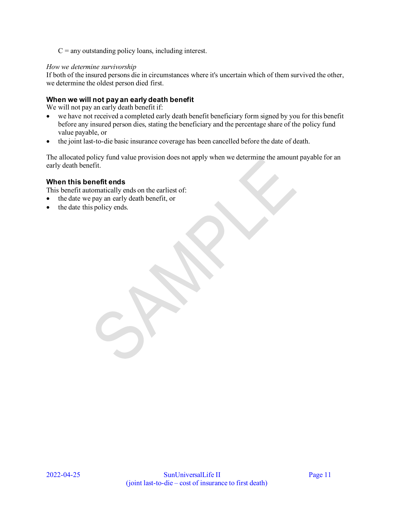$C =$  any outstanding policy loans, including interest.

#### *How we determine survivorship*

If both of the insured persons die in circumstances where it's uncertain which of them survived the other, we determine the oldest person died first.

### **When we will not pay an early death benefit**

We will not pay an early death benefit if:

- we have not received a completed early death benefit beneficiary form signed by you for this benefit before any insured person dies, stating the beneficiary and the percentage share of the policy fund value payable, or
- the joint last-to-die basic insurance coverage has been cancelled before the date of death.

The allocated policy fund value provision does not apply when we determine the amount payable for an early death benefit.

#### **When this benefit ends**

This benefit automatically ends on the earliest of:

- the date we pay an early death benefit, or
- the date this policy ends.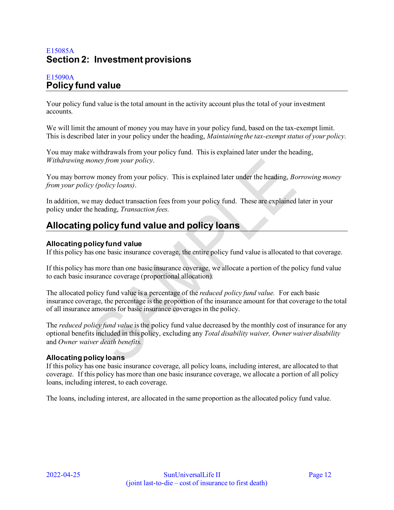# <span id="page-11-0"></span>E15085A **Section 2: Investment provisions**

# <span id="page-11-1"></span>E15090A **Policy fund value**

Your policy fund value is the total amount in the activity account plus the total of your investment accounts.

We will limit the amount of money you may have in your policy fund, based on the tax-exempt limit. This is described later in your policy under the heading, *Maintaining the tax-exempt status of your policy*.

You may make withdrawals from your policy fund. This is explained later under the heading, *Withdrawing money from your policy*.

You may borrow money from your policy. This is explained later under the heading, *Borrowing money from your policy (policy loans)*.

In addition, we may deduct transaction fees from your policy fund. These are explained later in your policy under the heading, *Transaction fees*.

# <span id="page-11-2"></span>**Allocating policy fund value and policy loans**

#### **Allocating policy fund value**

If this policy has one basic insurance coverage, the entire policy fund value is allocated to that coverage.

If this policy has more than one basic insurance coverage, we allocate a portion of the policy fund value to each basic insurance coverage (proportional allocation).

The allocated policy fund value is a percentage of the *reduced policy fund value.* For each basic insurance coverage, the percentage is the proportion of the insurance amount for that coverage to the total of all insurance amounts for basic insurance coverages in the policy.

The *reduced policy fund value* is the policy fund value decreased by the monthly cost of insurance for any optional benefits included in this policy, excluding any *Total disability waiver, Owner waiver disability*  and *Owner waiver death benefits.* 

## **Allocating policy loans**

If this policy has one basic insurance coverage, all policy loans, including interest, are allocated to that coverage. If this policy has more than one basic insurance coverage, we allocate a portion of all policy loans, including interest, to each coverage.

The loans, including interest, are allocated in the same proportion as the allocated policy fund value.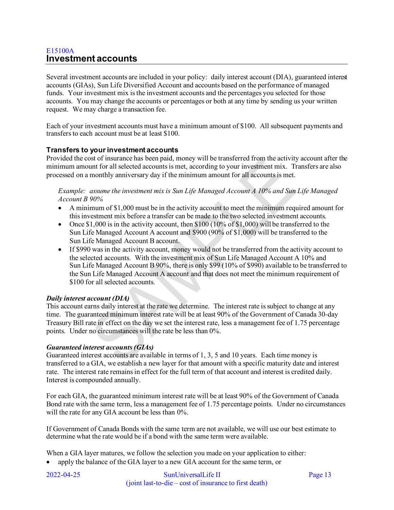## <span id="page-12-0"></span>E15100A **Investment accounts**

Several investment accounts are included in your policy: daily interest account (DIA), guaranteed interest accounts (GIAs), Sun Life Diversified Account and accounts based on the performance of managed funds. Your investment mix is the investment accounts and the percentages you selected for those accounts. You may change the accounts or percentages or both at any time by sending us your written request. We may charge a transaction fee.

Each of your investment accounts must have a minimum amount of \$100. All subsequent payments and transfers to each account must be at least \$100.

#### **Transfers to your investment accounts**

Provided the cost of insurance has been paid, money will be transferred from the activity account after the minimum amount for all selected accounts is met, according to your investment mix. Transfers are also processed on a monthly anniversary day if the minimum amount for all accounts is met.

*Example: assume the investment mix is Sun Life Managed Account A 10% and Sun Life Managed Account B 90%* 

- A minimum of \$1,000 must be in the activity account to meet the minimum required amount for this investment mix before a transfer can be made to the two selected investment accounts.
- Once  $$1,000$  is in the activity account, then  $$100 (10\% \text{ of } $1,000)$  will be transferred to the Sun Life Managed Account A account and \$900 (90% of \$1,000) will be transferred to the Sun Life Managed Account B account.
- If \$990 was in the activity account, money would not be transferred from the activity account to the selected accounts. With the investment mix of Sun Life Managed Account A 10% and Sun Life Managed Account B 90%, there is only \$99 (10% of \$990) available to be transferred to the Sun Life Managed Account A account and that does not meet the minimum requirement of \$100 for all selected accounts.

#### *Daily interest account (DIA)*

This account earns daily interest at the rate we determine. The interest rate is subject to change at any time. The guaranteed minimum interest rate will be at least 90% of the Government of Canada 30-day Treasury Bill rate in effect on the day we set the interest rate, less a management fee of 1.75 percentage points. Under no circumstances will the rate be less than 0%.

#### *Guaranteed interest accounts (GIAs)*

Guaranteed interest accounts are available in terms of 1, 3, 5 and 10 years. Each time money is transferred to a GIA, we establish a new layer for that amount with a specific maturity date and interest rate. The interest rate remains in effect for the full term of that account and interest is credited daily. Interest is compounded annually.

For each GIA, the guaranteed minimum interest rate will be at least 90% of the Government of Canada Bond rate with the same term, less a management fee of 1.75 percentage points. Under no circumstances will the rate for any GIA account be less than  $0\%$ .

If Government of Canada Bonds with the same term are not available, we will use our best estimate to determine what the rate would be if a bond with the same term were available.

When a GIA layer matures, we follow the selection you made on your application to either:

• apply the balance of the GIA layer to a new GIA account for the same term, or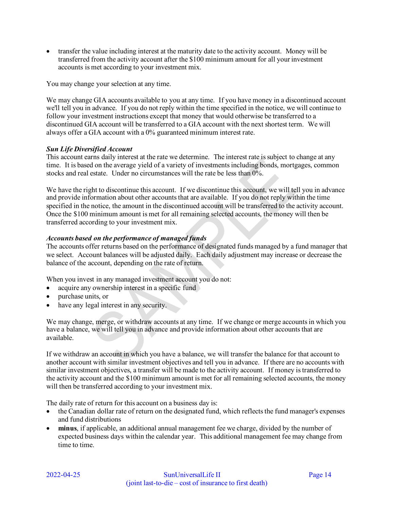• transfer the value including interest at the maturity date to the activity account. Money will be transferred from the activity account after the \$100 minimum amount for all your investment accounts is met according to your investment mix.

You may change your selection at any time.

We may change GIA accounts available to you at any time. If you have money in a discontinued account we'll tell you in advance. If you do not reply within the time specified in the notice, we will continue to follow your investment instructions except that money that would otherwise be transferred to a discontinued GIA account will be transferred to a GIA account with the next shortest term. We will always offer a GIA account with a 0% guaranteed minimum interest rate.

#### *Sun Life Diversified Account*

This account earns daily interest at the rate we determine. The interest rate is subject to change at any time. It is based on the average yield of a variety of investments including bonds, mortgages, common stocks and real estate. Under no circumstances will the rate be less than 0%.

We have the right to discontinue this account. If we discontinue this account, we will tell you in advance and provide information about other accounts that are available. If you do not reply within the time specified in the notice, the amount in the discontinued account will be transferred to the activity account. Once the \$100 minimum amount is met for all remaining selected accounts, the money will then be transferred according to your investment mix.

#### *Accounts based on the performance of managed funds*

The accounts offer returns based on the performance of designated funds managed by a fund manager that we select. Account balances will be adjusted daily. Each daily adjustment may increase or decrease the balance of the account, depending on the rate of return.

When you invest in any managed investment account you do not:

- acquire any ownership interest in a specific fund
- purchase units, or
- have any legal interest in any security.

We may change, merge, or withdraw accounts at any time. If we change or merge accounts in which you have a balance, we will tell you in advance and provide information about other accounts that are available.

If we withdraw an account in which you have a balance, we will transfer the balance for that account to another account with similar investment objectives and tell you in advance. If there are no accounts with similar investment objectives, a transfer will be made to the activity account. If money is transferred to the activity account and the \$100 minimum amount is met for all remaining selected accounts, the money will then be transferred according to your investment mix.

The daily rate of return for this account on a business day is:

- the Canadian dollar rate of return on the designated fund, which reflects the fund manager's expenses and fund distributions
- **minus**, if applicable, an additional annual management fee we charge, divided by the number of expected business days within the calendar year. This additional management fee may change from time to time.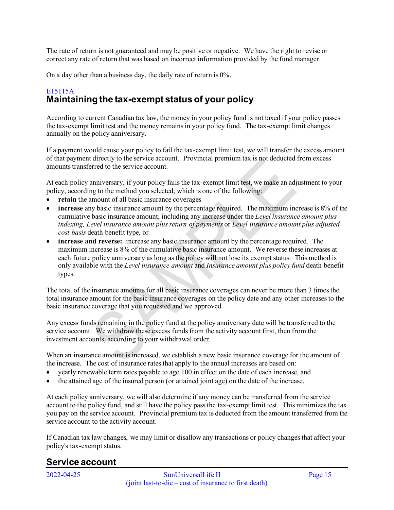The rate of return is not guaranteed and may be positive or negative. We have the right to revise or correct any rate of return that was based on incorrect information provided by the fund manager.

On a day other than a business day, the daily rate of return is 0%.

# <span id="page-14-0"></span>E15115A **Maintaining the tax-exempt status of your policy**

According to current Canadian tax law, the money in your policy fund is not taxed if your policy passes the tax-exempt limit test and the money remains in your policy fund. The tax-exempt limit changes annually on the policy anniversary.

If a payment would cause your policy to fail the tax-exempt limit test, we will transfer the excess amount of that payment directly to the service account. Provincial premium tax is not deducted from excess amounts transferred to the service account.

At each policy anniversary, if your policy fails the tax-exempt limit test, we make an adjustment to your policy, according to the method you selected, which is one of the following:

- retain the amount of all basic insurance coverages
- **increase** any basic insurance amount by the percentage required. The maximum increase is 8% of the cumulative basic insurance amount, including any increase under the *Level insurance amount plus indexing, Level insurance amount plus return of payments* or *Level insurance amount plus adjusted cost basis* death benefit type, or
- **increase and reverse:** increase any basic insurance amount by the percentage required. The maximum increase is 8% of the cumulative basic insurance amount. We reverse these increases at each future policy anniversary as long as the policy will not lose its exempt status. This method is only available with the *Level insurance amount* and *Insurance amount plus policy fund* death benefit types.

The total of the insurance amounts for all basic insurance coverages can never be more than 3 times the total insurance amount for the basic insurance coverages on the policy date and any other increases to the basic insurance coverage that you requested and we approved.

Any excess funds remaining in the policy fund at the policy anniversary date will be transferred to the service account. We withdraw these excess funds from the activity account first, then from the investment accounts, according to your withdrawal order.

When an insurance amount is increased, we establish a new basic insurance coverage for the amount of the increase. The cost of insurance rates that apply to the annual increases are based on:

- yearly renewable term rates payable to age 100 in effect on the date of each increase, and
- the attained age of the insured person (or attained joint age) on the date of the increase.

At each policy anniversary, we will also determine if any money can be transferred from the service account to the policy fund, and still have the policy pass the tax-exempt limit test. This minimizes the tax you pay on the service account. Provincial premium tax is deducted from the amount transferred from the service account to the activity account.

If Canadian tax law changes, we may limit or disallow any transactions or policy changes that affect your policy's tax-exempt status.

# <span id="page-14-1"></span>**Service account**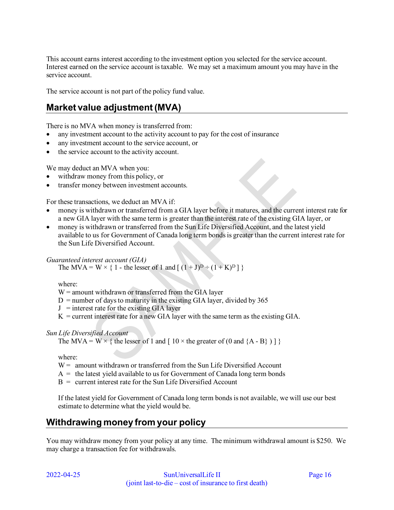This account earns interest according to the investment option you selected for the service account. Interest earned on the service account is taxable. We may set a maximum amount you may have in the service account.

The service account is not part of the policy fund value.

# <span id="page-15-0"></span>**Market value adjustment (MVA)**

There is no MVA when money is transferred from:

- any investment account to the activity account to pay for the cost of insurance
- any investment account to the service account, or
- the service account to the activity account.

We may deduct an MVA when you:

- withdraw money from this policy, or
- transfer money between investment accounts.

For these transactions, we deduct an MVA if:

- money is withdrawn or transferred from a GIA layer before it matures, and the current interest rate for a new GIA layer with the same term is greater than the interest rate of the existing GIA layer, or
- money is withdrawn or transferred from the Sun Life Diversified Account, and the latest yield available to us for Government of Canada long term bonds is greater than the current interest rate for the Sun Life Diversified Account.

#### *Guaranteed interest account (GIA)*

The MVA = W  $\times$  { 1 - the lesser of 1 and [  $(1+J)^D \div (1+K)^D$  ] }

where:

 $W =$  amount withdrawn or transferred from the GIA layer

- $D =$  number of days to maturity in the existing GIA layer, divided by 365
- $J =$  interest rate for the existing GIA layer
- $K =$  current interest rate for a new GIA layer with the same term as the existing GIA.

#### *Sun Life Diversified Account*

The MVA = W  $\times$  { the lesser of 1 and [ 10  $\times$  the greater of (0 and {A - B} ) ] }

where:

- $W =$  amount withdrawn or transferred from the Sun Life Diversified Account
- $A =$  the latest yield available to us for Government of Canada long term bonds
- $B =$  current interest rate for the Sun Life Diversified Account

If the latest yield for Government of Canada long term bonds is not available, we will use our best estimate to determine what the yield would be.

# <span id="page-15-1"></span>**Withdrawing money from your policy**

You may withdraw money from your policy at any time. The minimum withdrawal amount is \$250. We may charge a transaction fee for withdrawals.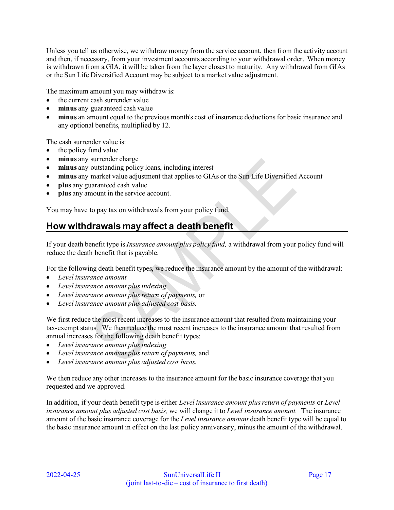Unless you tell us otherwise, we withdraw money from the service account, then from the activity account and then, if necessary, from your investment accounts according to your withdrawal order. When money is withdrawn from a GIA, it will be taken from the layer closest to maturity. Any withdrawal from GIAs or the Sun Life Diversified Account may be subject to a market value adjustment.

The maximum amount you may withdraw is:

- the current cash surrender value
- **minus** any guaranteed cash value
- **minus** an amount equal to the previous month's cost of insurance deductions for basic insurance and any optional benefits, multiplied by 12.

The cash surrender value is:

- the policy fund value
- **minus** any surrender charge
- **minus** any outstanding policy loans, including interest
- **minus** any market value adjustment that applies to GIAs or the Sun Life Diversified Account
- **plus** any guaranteed cash value
- **plus** any amount in the service account.

You may have to pay tax on withdrawals from your policy fund.

# <span id="page-16-0"></span>**How withdrawals may affect a death benefit**

If your death benefit type is *Insurance amount plus policy fund,* a withdrawal from your policy fund will reduce the death benefit that is payable.

For the following death benefit types, we reduce the insurance amount by the amount of the withdrawal:

- *Level insurance amount*
- *Level insurance amount plus indexing*
- *Level insurance amount plus return of payments,* or
- *Level insurance amount plus adjusted cost basis.*

We first reduce the most recent increases to the insurance amount that resulted from maintaining your tax-exempt status. We then reduce the most recent increases to the insurance amount that resulted from annual increases for the following death benefit types:

- *Level insurance amount plus indexing*
- *Level insurance amount plus return of payments,* and
- *Level insurance amount plus adjusted cost basis.*

We then reduce any other increases to the insurance amount for the basic insurance coverage that you requested and we approved.

In addition, if your death benefit type is either *Level insurance amount plus return of payments* or *Level insurance amount plus adjusted cost basis,* we will change it to *Level insurance amount.* The insurance amount of the basic insurance coverage for the *Level insurance amount* death benefit type will be equal to the basic insurance amount in effect on the last policy anniversary, minus the amount of the withdrawal.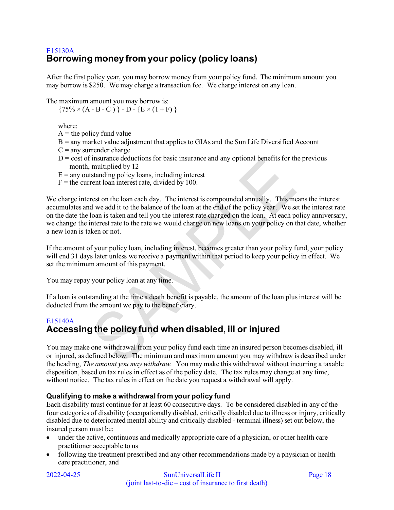<span id="page-17-0"></span>After the first policy year, you may borrow money from your policy fund. The minimum amount you may borrow is \$250. We may charge a transaction fee. We charge interest on any loan.

The maximum amount you may borrow is:

 ${75\% \times (A - B - C)} - D - {E \times (1 + F)}$ 

where:

- $A =$  the policy fund value
- B = any market value adjustment that applies to GIAs and the Sun Life Diversified Account
- $C =$  any surrender charge
- $D = \text{cost of insurance deductions}$  for basic insurance and any optional benefits for the previous month, multiplied by 12
- $E =$  any outstanding policy loans, including interest
- $F =$  the current loan interest rate, divided by 100.

We charge interest on the loan each day. The interest is compounded annually. This means the interest accumulates and we add it to the balance of the loan at the end of the policy year. We set the interest rate on the date the loan is taken and tell you the interest rate charged on the loan. At each policy anniversary, we change the interest rate to the rate we would charge on new loans on your policy on that date, whether a new loan is taken or not.

If the amount of your policy loan, including interest, becomes greater than your policy fund, your policy will end 31 days later unless we receive a payment within that period to keep your policy in effect. We set the minimum amount of this payment.

You may repay your policy loan at any time.

If a loan is outstanding at the time a death benefit is payable, the amount of the loan plus interest will be deducted from the amount we pay to the beneficiary.

#### <span id="page-17-1"></span>E15140A

# **Accessing the policy fund when disabled, ill or injured**

You may make one withdrawal from your policy fund each time an insured person becomes disabled, ill or injured, as defined below. The minimum and maximum amount you may withdraw is described under the heading, *The amount you may withdraw.* You may make this withdrawal without incurring a taxable disposition, based on tax rules in effect as of the policy date. The tax rules may change at any time, without notice. The tax rules in effect on the date you request a withdrawal will apply.

#### **Qualifying to make a withdrawal from your policy fund**

Each disability must continue for at least 60 consecutive days. To be considered disabled in any of the four categories of disability (occupationally disabled, critically disabled due to illness or injury, critically disabled due to deteriorated mental ability and critically disabled - terminal illness) set out below, the insured person must be:

- under the active, continuous and medically appropriate care of a physician, or other health care practitioner acceptable to us
- following the treatment prescribed and any other recommendations made by a physician or health care practitioner, and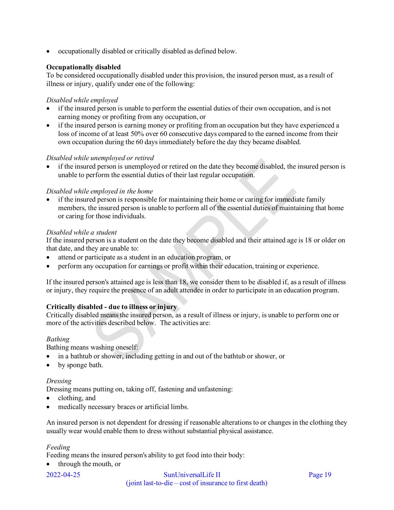• occupationally disabled or critically disabled as defined below.

### **Occupationally disabled**

To be considered occupationally disabled under this provision, the insured person must, as a result of illness or injury, qualify under one of the following:

#### *Disabled while employed*

- if the insured person is unable to perform the essential duties of their own occupation, and is not earning money or profiting from any occupation, or
- if the insured person is earning money or profiting from an occupation but they have experienced a loss of income of at least 50% over 60 consecutive days compared to the earned income from their own occupation during the 60 days immediately before the day they became disabled.

#### *Disabled while unemployed or retired*

• if the insured person is unemployed or retired on the date they become disabled, the insured person is unable to perform the essential duties of their last regular occupation.

#### *Disabled while employed in the home*

• if the insured person is responsible for maintaining their home or caring for immediate family members, the insured person is unable to perform all of the essential duties of maintaining that home or caring for those individuals.

#### *Disabled while a student*

If the insured person is a student on the date they become disabled and their attained age is 18 or older on that date, and they are unable to:

- attend or participate as a student in an education program, or
- perform any occupation for earnings or profit within their education, training or experience.

If the insured person's attained age is less than 18, we consider them to be disabled if, as a result of illness or injury, they require the presence of an adult attendee in order to participate in an education program.

#### **Critically disabled - due to illness or injury**

Critically disabled means the insured person, as a result of illness or injury, is unable to perform one or more of the activities described below. The activities are:

#### *Bathing*

Bathing means washing oneself:

- in a bathtub or shower, including getting in and out of the bathtub or shower, or
- by sponge bath.

#### *Dressing*

Dressing means putting on, taking off, fastening and unfastening:

- clothing, and
- medically necessary braces or artificial limbs.

An insured person is not dependent for dressing if reasonable alterations to or changes in the clothing they usually wear would enable them to dress without substantial physical assistance.

#### *Feeding*

Feeding means the insured person's ability to get food into their body:

• through the mouth, or

2022-04-25 SunUniversalLife II Page 19 (joint last-to-die – cost of insurance to first death)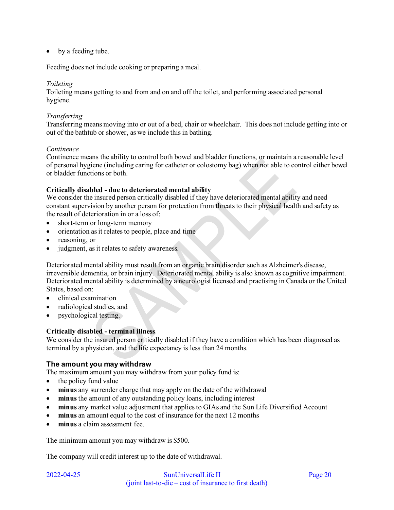• by a feeding tube.

Feeding does not include cooking or preparing a meal.

#### *Toileting*

Toileting means getting to and from and on and off the toilet, and performing associated personal hygiene.

#### *Transferring*

Transferring means moving into or out of a bed, chair or wheelchair. This does not include getting into or out of the bathtub or shower, as we include this in bathing.

#### *Continence*

Continence means the ability to control both bowel and bladder functions, or maintain a reasonable level of personal hygiene (including caring for catheter or colostomy bag) when not able to control either bowel or bladder functions or both.

#### **Critically disabled - due to deteriorated mental ability**

We consider the insured person critically disabled if they have deteriorated mental ability and need constant supervision by another person for protection from threats to their physical health and safety as the result of deterioration in or a loss of:

- short-term or long-term memory
- orientation as it relates to people, place and time
- reasoning, or
- judgment, as it relates to safety awareness.

Deteriorated mental ability must result from an organic brain disorder such as Alzheimer's disease, irreversible dementia, or brain injury. Deteriorated mental ability is also known as cognitive impairment. Deteriorated mental ability is determined by a neurologist licensed and practising in Canada or the United States, based on:

- clinical examination
- radiological studies, and
- psychological testing.

#### **Critically disabled - terminal illness**

We consider the insured person critically disabled if they have a condition which has been diagnosed as terminal by a physician, and the life expectancy is less than 24 months.

#### **The amount you may withdraw**

The maximum amount you may withdraw from your policy fund is:

- the policy fund value
- **minus** any surrender charge that may apply on the date of the withdrawal
- **minus** the amount of any outstanding policy loans, including interest
- **minus** any market value adjustment that applies to GIAs and the Sun Life Diversified Account
- **minus** an amount equal to the cost of insurance for the next 12 months
- **minus** a claim assessment fee.

The minimum amount you may withdraw is \$500.

The company will credit interest up to the date of withdrawal.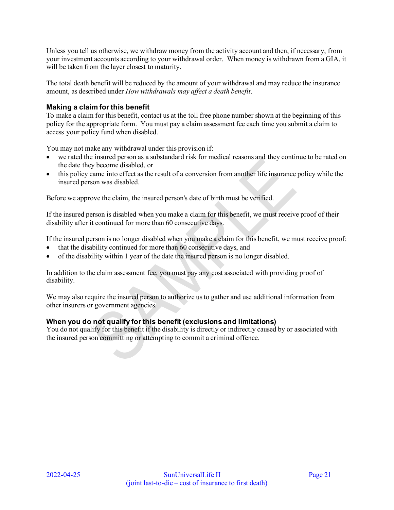Unless you tell us otherwise, we withdraw money from the activity account and then, if necessary, from your investment accounts according to your withdrawal order. When money is withdrawn from a GIA, it will be taken from the layer closest to maturity.

The total death benefit will be reduced by the amount of your withdrawal and may reduce the insurance amount, as described under *How withdrawals may affect a death benefit*.

#### **Making a claim for this benefit**

To make a claim for this benefit, contact us at the toll free phone number shown at the beginning of this policy for the appropriate form. You must pay a claim assessment fee each time you submit a claim to access your policy fund when disabled.

You may not make any withdrawal under this provision if:

- we rated the insured person as a substandard risk for medical reasons and they continue to be rated on the date they become disabled, or
- this policy came into effect as the result of a conversion from another life insurance policy while the insured person was disabled.

Before we approve the claim, the insured person's date of birth must be verified.

If the insured person is disabled when you make a claim for this benefit, we must receive proof of their disability after it continued for more than 60 consecutive days.

If the insured person is no longer disabled when you make a claim for this benefit, we must receive proof:

- that the disability continued for more than 60 consecutive days, and
- of the disability within 1 year of the date the insured person is no longer disabled.

In addition to the claim assessment fee, you must pay any cost associated with providing proof of disability.

We may also require the insured person to authorize us to gather and use additional information from other insurers or government agencies.

#### **When you do not qualify for this benefit (exclusions and limitations)**

You do not qualify for this benefit if the disability is directly or indirectly caused by or associated with the insured person committing or attempting to commit a criminal offence.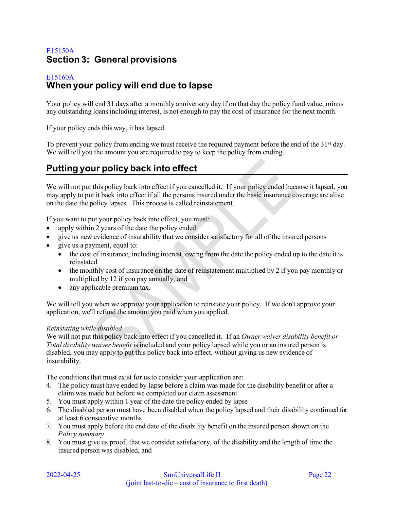# <span id="page-21-0"></span>E15150A **Section 3: General provisions**

#### <span id="page-21-1"></span>E15160A **When your policy will end due to lapse**

Your policy will end 31 days after a monthly anniversary day if on that day the policy fund value, minus any outstanding loans including interest, is not enough to pay the cost of insurance for the next month.

If your policy ends this way, it has lapsed.

To prevent your policy from ending we must receive the required payment before the end of the  $31<sup>st</sup>$  day. We will tell you the amount you are required to pay to keep the policy from ending.

# <span id="page-21-2"></span>**Putting your policy back into effect**

We will not put this policy back into effect if you cancelled it. If your policy ended because it lapsed, you may apply to put it back into effect if all the persons insured under the basic insurance coverage are alive on the date the policy lapses. This process is called reinstatement.

If you want to put your policy back into effect, you must:

- apply within 2 years of the date the policy ended
- give us new evidence of insurability that we consider satisfactory for all of the insured persons
- give us a payment, equal to:
	- the cost of insurance, including interest, owing from the date the policy ended up to the date it is reinstated
	- the monthly cost of insurance on the date of reinstatement multiplied by 2 if you pay monthly or multiplied by 12 if you pay annually, and
	- any applicable premium tax.

We will tell you when we approve your application to reinstate your policy. If we don't approve your application, we'll refund the amount you paid when you applied.

#### *Reinstating while disabled*

We will not put this policy back into effect if you cancelled it. If an *Owner waiver disability benefit or Total disability waiver benefit* is included and your policy lapsed while you or an insured person is disabled, you may apply to put this policy back into effect, without giving us new evidence of insurability.

The conditions that must exist for us to consider your application are:

- 4. The policy must have ended by lapse before a claim was made for the disability benefit or after a claim was made but before we completed our claim assessment
- 5. You must apply within 1 year of the date the policy ended by lapse
- 6. The disabled person must have been disabled when the policy lapsed and their disability continued for at least 6 consecutive months
- 7. You must apply before the end date of the disability benefit on the insured person shown on the *Policy summary*
- 8. You must give us proof, that we consider satisfactory, of the disability and the length of time the insured person was disabled, and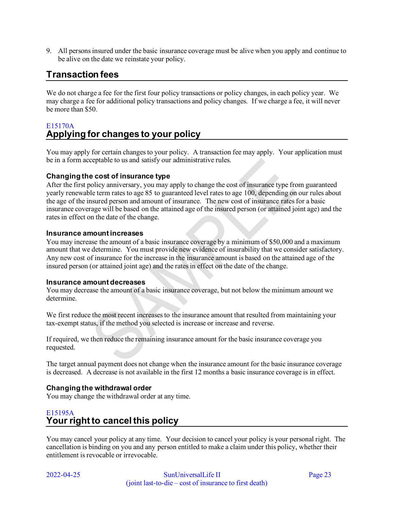9. All persons insured under the basic insurance coverage must be alive when you apply and continue to be alive on the date we reinstate your policy.

# <span id="page-22-0"></span>**Transaction fees**

We do not charge a fee for the first four policy transactions or policy changes, in each policy year. We may charge a fee for additional policy transactions and policy changes. If we charge a fee, it will never be more than \$50.

# <span id="page-22-1"></span>E15170A **Applying for changes to your policy**

You may apply for certain changes to your policy. A transaction fee may apply. Your application must be in a form acceptable to us and satisfy our administrative rules.

#### **Changing the cost of insurance type**

After the first policy anniversary, you may apply to change the cost of insurance type from guaranteed yearly renewable term rates to age 85 to guaranteed level rates to age 100, depending on our rules about the age of the insured person and amount of insurance. The new cost of insurance rates for a basic insurance coverage will be based on the attained age of the insured person (or attained joint age) and the rates in effect on the date of the change.

#### **Insurance amount increases**

You may increase the amount of a basic insurance coverage by a minimum of \$50,000 and a maximum amount that we determine. You must provide new evidence of insurability that we consider satisfactory. Any new cost of insurance for the increase in the insurance amount is based on the attained age of the insured person (or attained joint age) and the rates in effect on the date of the change.

#### **Insurance amount decreases**

You may decrease the amount of a basic insurance coverage, but not below the minimum amount we determine.

We first reduce the most recent increases to the insurance amount that resulted from maintaining your tax-exempt status, if the method you selected is increase or increase and reverse.

If required, we then reduce the remaining insurance amount for the basic insurance coverage you requested.

The target annual payment does not change when the insurance amount for the basic insurance coverage is decreased. A decrease is not available in the first 12 months a basic insurance coverage is in effect.

#### **Changing the withdrawal order**

You may change the withdrawal order at any time.

# <span id="page-22-2"></span>E15195A **Your right to cancel this policy**

You may cancel your policy at any time. Your decision to cancel your policy is your personal right. The cancellation is binding on you and any person entitled to make a claim under this policy, whether their entitlement is revocable or irrevocable.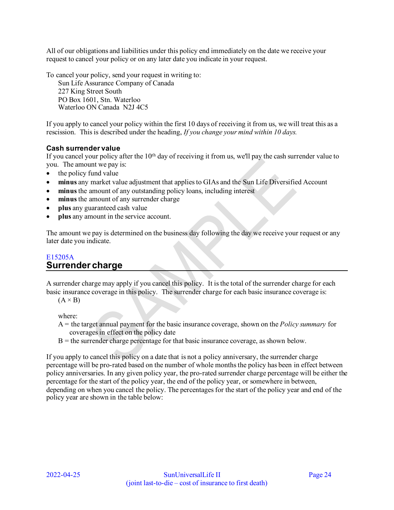All of our obligations and liabilities under this policy end immediately on the date we receive your request to cancel your policy or on any later date you indicate in your request.

To cancel your policy, send your request in writing to:

Sun Life Assurance Company of Canada 227 King Street South PO Box 1601, Stn. Waterloo Waterloo ON Canada N2J 4C5

If you apply to cancel your policy within the first 10 days of receiving it from us, we will treat this as a rescission. This is described under the heading, *If you change your mind within 10 days.* 

#### **Cash surrender value**

If you cancel your policy after the  $10<sup>th</sup>$  day of receiving it from us, we'll pay the cash surrender value to you. The amount we pay is:

- the policy fund value
- **minus** any market value adjustment that applies to GIAs and the Sun Life Diversified Account
- minus the amount of any outstanding policy loans, including interest
- minus the amount of any surrender charge
- **plus** any guaranteed cash value
- **plus** any amount in the service account.

The amount we pay is determined on the business day following the day we receive your request or any later date you indicate.

## <span id="page-23-0"></span>E15205A **Surrender charge**

A surrender charge may apply if you cancel this policy. It is the total of the surrender charge for each basic insurance coverage in this policy. The surrender charge for each basic insurance coverage is:

 $(A \times B)$ 

where:

- A = the target annual payment for the basic insurance coverage, shown on the *Policy summary* for coverages in effect on the policy date
- $B =$  the surrender charge percentage for that basic insurance coverage, as shown below.

If you apply to cancel this policy on a date that is not a policy anniversary, the surrender charge percentage will be pro-rated based on the number of whole months the policy has been in effect between policy anniversaries. In any given policy year, the pro-rated surrender charge percentage will be either the percentage for the start of the policy year, the end of the policy year, or somewhere in between, depending on when you cancel the policy. The percentages for the start of the policy year and end of the policy year are shown in the table below: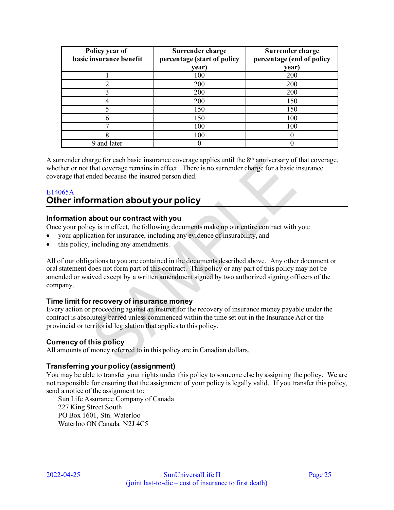| Policy year of<br>basic insurance benefit | Surrender charge<br>percentage (start of policy | Surrender charge<br>percentage (end of policy |
|-------------------------------------------|-------------------------------------------------|-----------------------------------------------|
|                                           | year)                                           | year)                                         |
|                                           | 100                                             | 200                                           |
|                                           | 200                                             | 200                                           |
|                                           | 200                                             | 200                                           |
|                                           | 200                                             | 150                                           |
|                                           | 150                                             | 150                                           |
|                                           | 150                                             | 100                                           |
|                                           | 100                                             | 100                                           |
|                                           | 100                                             |                                               |
| 9 and later                               |                                                 |                                               |

A surrender charge for each basic insurance coverage applies until the  $8<sup>th</sup>$  anniversary of that coverage, whether or not that coverage remains in effect. There is no surrender charge for a basic insurance coverage that ended because the insured person died.

## <span id="page-24-0"></span>E14065A **Other information about your policy**

#### **Information about our contract with you**

Once your policy is in effect, the following documents make up our entire contract with you:

- your application for insurance, including any evidence of insurability, and
- this policy, including any amendments.

All of our obligations to you are contained in the documents described above. Any other document or oral statement does not form part of this contract. This policy or any part of this policy may not be amended or waived except by a written amendment signed by two authorized signing officers of the company.

#### **Time limit for recovery of insurance money**

Every action or proceeding against an insurer for the recovery of insurance money payable under the contract is absolutely barred unless commenced within the time set out in the Insurance Act or the provincial or territorial legislation that applies to this policy.

#### **Currency of this policy**

All amounts of money referred to in this policy are in Canadian dollars.

#### **Transferring your policy (assignment)**

You may be able to transfer your rights under this policy to someone else by assigning the policy. We are not responsible for ensuring that the assignment of your policy is legally valid. If you transfer this policy, send a notice of the assignment to:

Sun Life Assurance Company of Canada 227 King Street South PO Box 1601, Stn. Waterloo Waterloo ON Canada N2J 4C5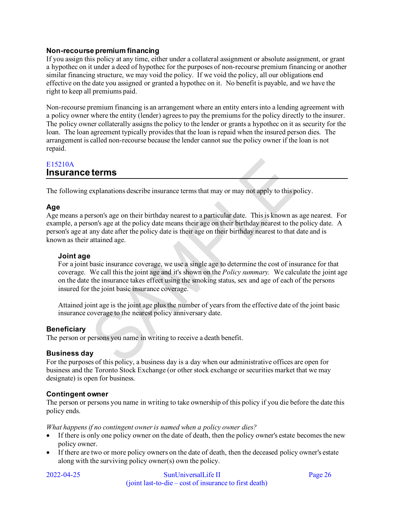#### **Non-recourse premium financing**

If you assign this policy at any time, either under a collateral assignment or absolute assignment, or grant a hypothec on it under a deed of hypothec for the purposes of non-recourse premium financing or another similar financing structure, we may void the policy. If we void the policy, all our obligations end effective on the date you assigned or granted a hypothec on it. No benefit is payable, and we have the right to keep all premiums paid.

Non-recourse premium financing is an arrangement where an entity enters into a lending agreement with a policy owner where the entity (lender) agrees to pay the premiums for the policy directly to the insurer. The policy owner collaterally assigns the policy to the lender or grants a hypothec on it as security for the loan. The loan agreement typically provides that the loan is repaid when the insured person dies. The arrangement is called non-recourse because the lender cannot sue the policy owner if the loan is not repaid.

## <span id="page-25-0"></span>E15210A **Insurance terms**

The following explanations describe insurance terms that may or may not apply to this policy.

## **Age**

Age means a person's age on their birthday nearest to a particular date. This is known as age nearest. For example, a person's age at the policy date means their age on their birthday nearest to the policy date. A person's age at any date after the policy date is their age on their birthday nearest to that date and is known as their attained age.

#### **Joint age**

For a joint basic insurance coverage, we use a single age to determine the cost of insurance for that coverage. We call this the joint age and it's shown on the *Policy summary.* We calculate the joint age on the date the insurance takes effect using the smoking status, sex and age of each of the persons insured for the joint basic insurance coverage.

Attained joint age is the joint age plus the number of years from the effective date of the joint basic insurance coverage to the nearest policy anniversary date.

## **Beneficiary**

The person or persons you name in writing to receive a death benefit.

#### **Business day**

For the purposes of this policy, a business day is a day when our administrative offices are open for business and the Toronto Stock Exchange (or other stock exchange or securities market that we may designate) is open for business.

#### **Contingent owner**

The person or persons you name in writing to take ownership of this policy if you die before the date this policy ends.

*What happens if no contingent owner is named when a policy owner dies?* 

- If there is only one policy owner on the date of death, then the policy owner's estate becomes the new policy owner.
- If there are two or more policy owners on the date of death, then the deceased policy owner's estate along with the surviving policy owner(s) own the policy.